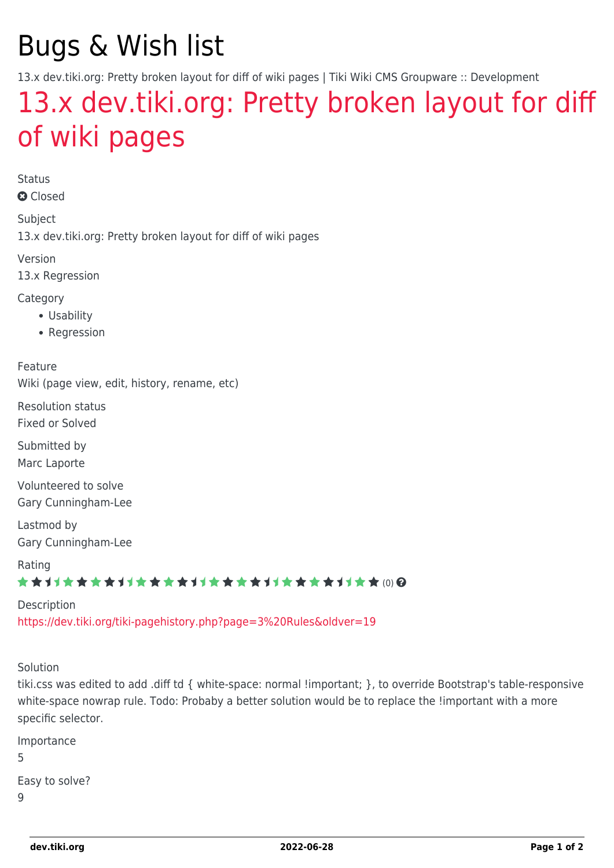## Bugs & Wish list

13.x dev.tiki.org: Pretty broken layout for diff of wiki pages | Tiki Wiki CMS Groupware :: Development

## [13.x dev.tiki.org: Pretty broken layout for diff](https://dev.tiki.org/item5349-13-x-dev-tiki-org-Pretty-broken-layout-for-diff-of-wiki-pages) [of wiki pages](https://dev.tiki.org/item5349-13-x-dev-tiki-org-Pretty-broken-layout-for-diff-of-wiki-pages)

Status

**a** Closed

Subject 13.x dev.tiki.org: Pretty broken layout for diff of wiki pages

Version

13.x Regression

Category

- Usability
- Regression

Feature Wiki (page view, edit, history, rename, etc)

Resolution status Fixed or Solved

Submitted by Marc Laporte

Volunteered to solve Gary Cunningham-Lee

Lastmod by Gary Cunningham-Lee

Rating ★★オオ★★★★オオ★★★★オオ★★★★オオ★★★★1オ★★∞Q

Description <https://dev.tiki.org/tiki-pagehistory.php?page=3%20Rules&oldver=19>

Solution

tiki.css was edited to add .diff td { white-space: normal !important; }, to override Bootstrap's table-responsive white-space nowrap rule. Todo: Probaby a better solution would be to replace the !important with a more specific selector.

Importance 5 Easy to solve?  $\overline{Q}$